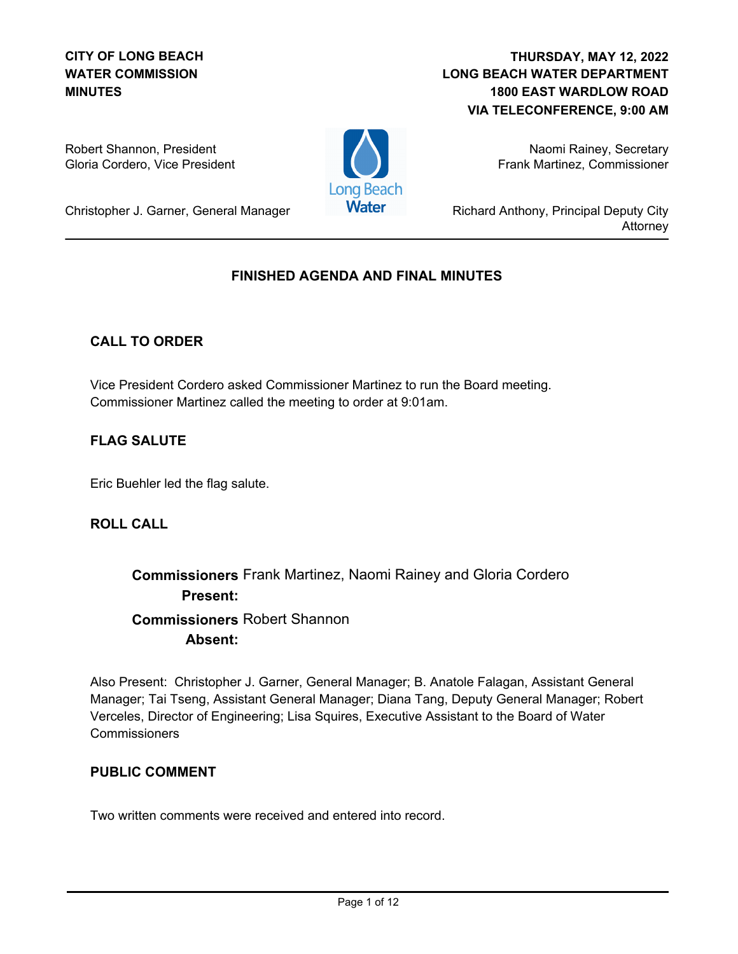### **CITY OF LONG BEACH WATER COMMISSION MINUTES**

### **LONG BEACH WATER DEPARTMENT 1800 EAST WARDLOW ROAD VIA TELECONFERENCE, 9:00 AM THURSDAY, MAY 12, 2022**

Robert Shannon, President Gloria Cordero, Vice President



Naomi Rainey, Secretary Frank Martinez, Commissioner

Richard Anthony, Principal Deputy City Attorney

# Christopher J. Garner, General Manager

## **FINISHED AGENDA AND FINAL MINUTES**

### **CALL TO ORDER**

Vice President Cordero asked Commissioner Martinez to run the Board meeting. Commissioner Martinez called the meeting to order at 9:01am.

### **FLAG SALUTE**

Eric Buehler led the flag salute.

### **ROLL CALL**

# **Commissioners** Frank Martinez, Naomi Rainey and Gloria Cordero **Present: Commissioners** Robert Shannon **Absent:**

Also Present: Christopher J. Garner, General Manager; B. Anatole Falagan, Assistant General Manager; Tai Tseng, Assistant General Manager; Diana Tang, Deputy General Manager; Robert Verceles, Director of Engineering; Lisa Squires, Executive Assistant to the Board of Water **Commissioners** 

### **PUBLIC COMMENT**

Two written comments were received and entered into record.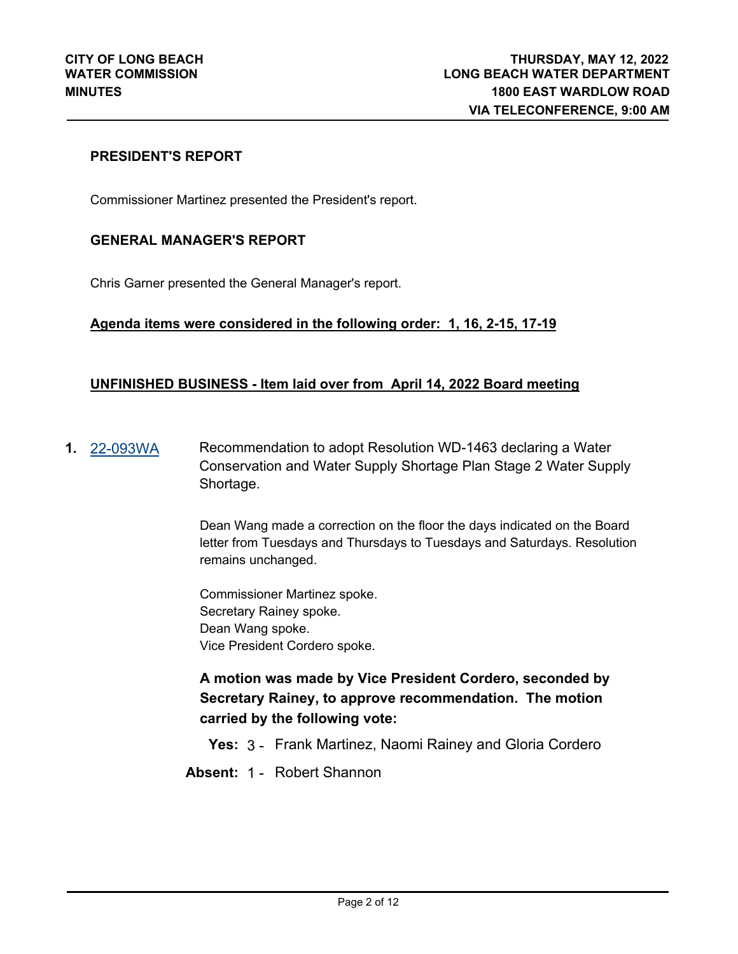#### **PRESIDENT'S REPORT**

Commissioner Martinez presented the President's report.

#### **GENERAL MANAGER'S REPORT**

Chris Garner presented the General Manager's report.

#### **Agenda items were considered in the following order: 1, 16, 2-15, 17-19**

#### **UNFINISHED BUSINESS - Item laid over from April 14, 2022 Board meeting**

**1.** [22-093WA](http://longbeach.legistar.com/gateway.aspx?M=L&ID=239306) Recommendation to adopt Resolution WD-1463 declaring a Water Conservation and Water Supply Shortage Plan Stage 2 Water Supply Shortage.

> Dean Wang made a correction on the floor the days indicated on the Board letter from Tuesdays and Thursdays to Tuesdays and Saturdays. Resolution remains unchanged.

Commissioner Martinez spoke. Secretary Rainey spoke. Dean Wang spoke. Vice President Cordero spoke.

**A motion was made by Vice President Cordero, seconded by Secretary Rainey, to approve recommendation. The motion carried by the following vote:**

**Yes:** 3 - Frank Martinez, Naomi Rainey and Gloria Cordero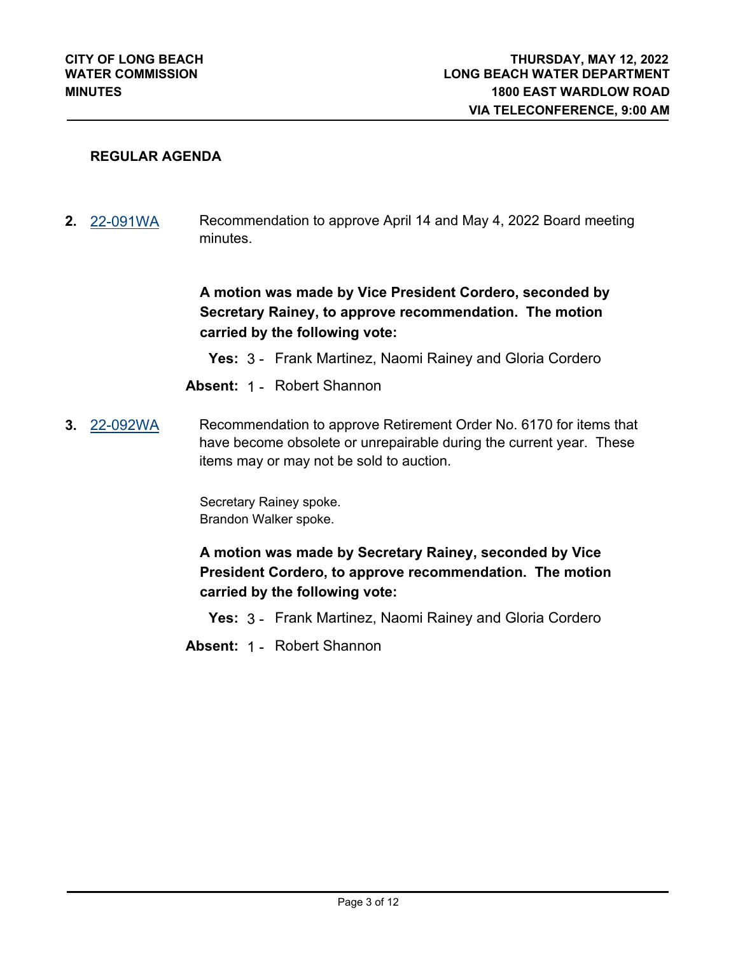#### **REGULAR AGENDA**

**2.** [22-091WA](http://longbeach.legistar.com/gateway.aspx?M=L&ID=239304) Recommendation to approve April 14 and May 4, 2022 Board meeting minutes.

> **A motion was made by Vice President Cordero, seconded by Secretary Rainey, to approve recommendation. The motion carried by the following vote:**

- **Yes:** 3 Frank Martinez, Naomi Rainey and Gloria Cordero
- **Absent:** 1 Robert Shannon
- **3.** [22-092WA](http://longbeach.legistar.com/gateway.aspx?M=L&ID=239305) Recommendation to approve Retirement Order No. 6170 for items that have become obsolete or unrepairable during the current year. These items may or may not be sold to auction.

Secretary Rainey spoke. Brandon Walker spoke.

**A motion was made by Secretary Rainey, seconded by Vice President Cordero, to approve recommendation. The motion carried by the following vote:**

**Yes:** 3 - Frank Martinez, Naomi Rainey and Gloria Cordero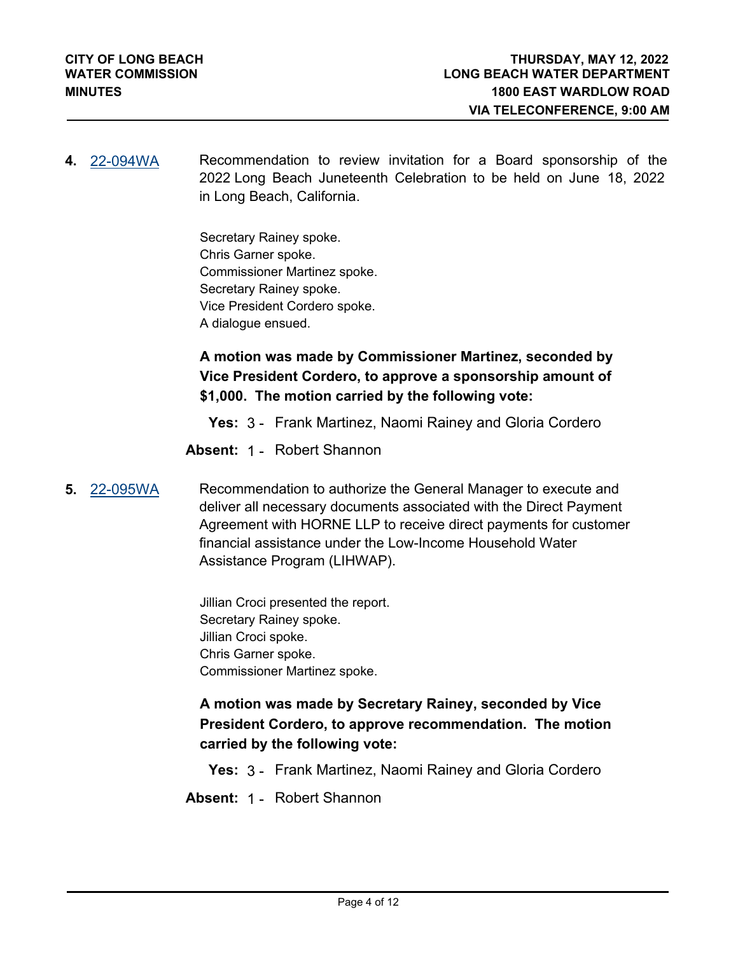**4.** [22-094WA](http://longbeach.legistar.com/gateway.aspx?M=L&ID=239307) Recommendation to review invitation for a Board sponsorship of the 2022 Long Beach Juneteenth Celebration to be held on June 18, 2022 in Long Beach, California.

> Secretary Rainey spoke. Chris Garner spoke. Commissioner Martinez spoke. Secretary Rainey spoke. Vice President Cordero spoke. A dialogue ensued.

**A motion was made by Commissioner Martinez, seconded by Vice President Cordero, to approve a sponsorship amount of \$1,000. The motion carried by the following vote:**

**Yes:** 3 - Frank Martinez, Naomi Rainey and Gloria Cordero

**Absent:** 1 - Robert Shannon

**5.** [22-095WA](http://longbeach.legistar.com/gateway.aspx?M=L&ID=239308) Recommendation to authorize the General Manager to execute and deliver all necessary documents associated with the Direct Payment Agreement with HORNE LLP to receive direct payments for customer financial assistance under the Low-Income Household Water Assistance Program (LIHWAP).

> Jillian Croci presented the report. Secretary Rainey spoke. Jillian Croci spoke. Chris Garner spoke. Commissioner Martinez spoke.

**A motion was made by Secretary Rainey, seconded by Vice President Cordero, to approve recommendation. The motion carried by the following vote:**

**Yes:** 3 - Frank Martinez, Naomi Rainey and Gloria Cordero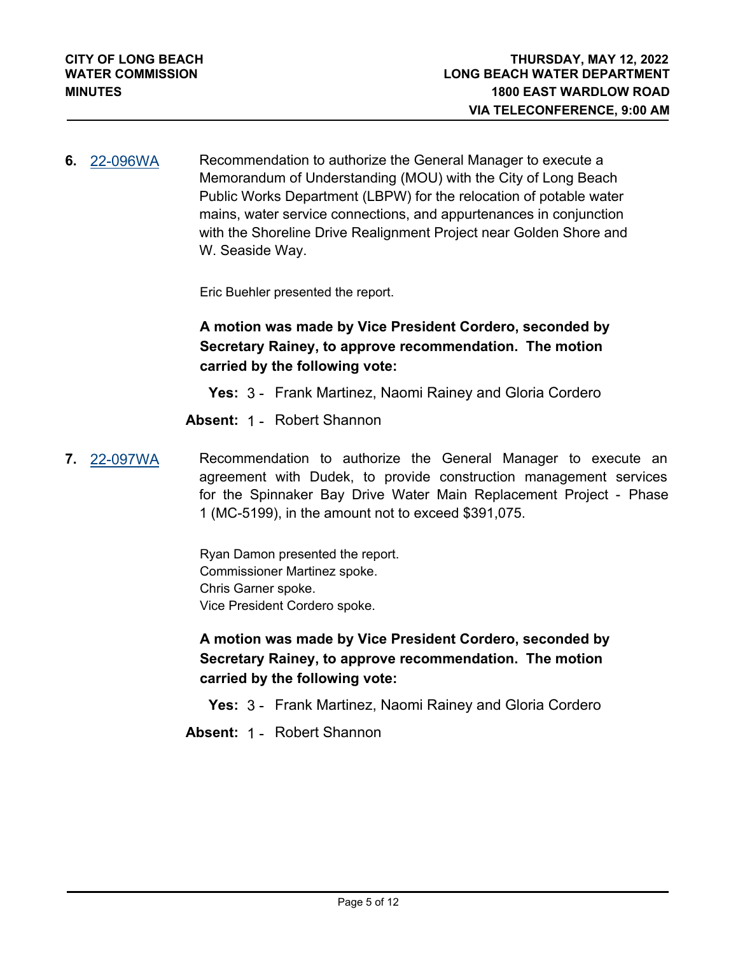**6.** [22-096WA](http://longbeach.legistar.com/gateway.aspx?M=L&ID=239309) Recommendation to authorize the General Manager to execute a Memorandum of Understanding (MOU) with the City of Long Beach Public Works Department (LBPW) for the relocation of potable water mains, water service connections, and appurtenances in conjunction with the Shoreline Drive Realignment Project near Golden Shore and W. Seaside Way.

Eric Buehler presented the report.

## **A motion was made by Vice President Cordero, seconded by Secretary Rainey, to approve recommendation. The motion carried by the following vote:**

**Yes:** 3 - Frank Martinez, Naomi Rainey and Gloria Cordero

**Absent:** 1 - Robert Shannon

**7.** [22-097WA](http://longbeach.legistar.com/gateway.aspx?M=L&ID=239310) Recommendation to authorize the General Manager to execute an agreement with Dudek, to provide construction management services for the Spinnaker Bay Drive Water Main Replacement Project - Phase 1 (MC-5199), in the amount not to exceed \$391,075.

> Ryan Damon presented the report. Commissioner Martinez spoke. Chris Garner spoke. Vice President Cordero spoke.

**A motion was made by Vice President Cordero, seconded by Secretary Rainey, to approve recommendation. The motion carried by the following vote:**

**Yes:** 3 - Frank Martinez, Naomi Rainey and Gloria Cordero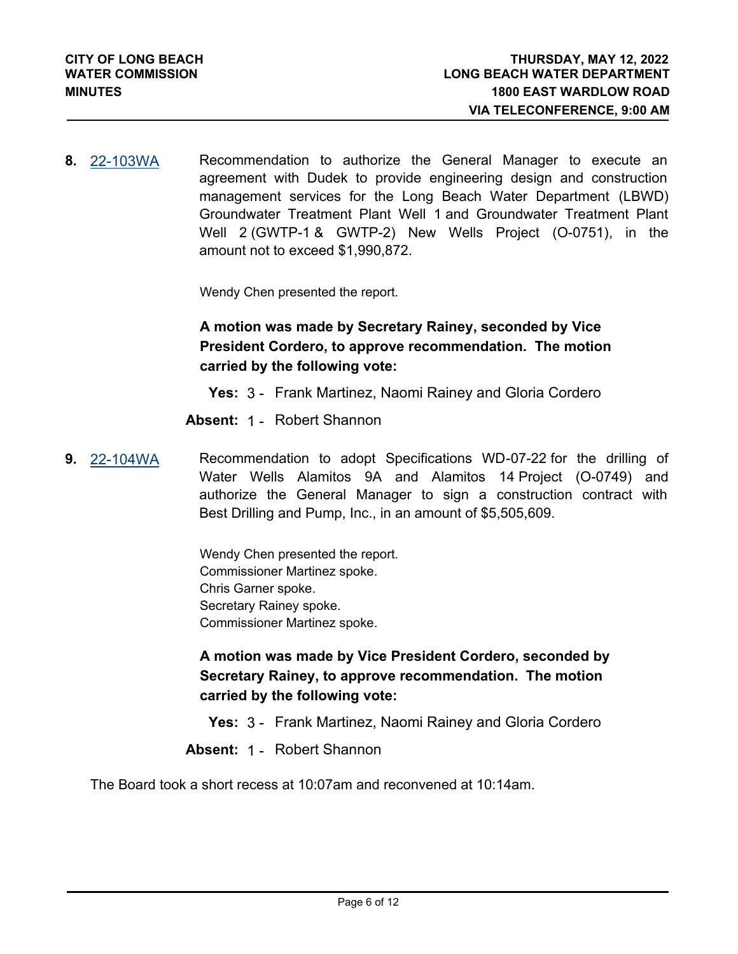**8.** [22-103WA](http://longbeach.legistar.com/gateway.aspx?M=L&ID=239506) Recommendation to authorize the General Manager to execute an agreement with Dudek to provide engineering design and construction management services for the Long Beach Water Department (LBWD) Groundwater Treatment Plant Well 1 and Groundwater Treatment Plant Well 2 (GWTP-1 & GWTP-2) New Wells Project (O-0751), in the amount not to exceed \$1,990,872.

Wendy Chen presented the report.

## **A motion was made by Secretary Rainey, seconded by Vice President Cordero, to approve recommendation. The motion carried by the following vote:**

**Yes:** 3 - Frank Martinez, Naomi Rainey and Gloria Cordero

**Absent:** 1 - Robert Shannon

**9.** [22-104WA](http://longbeach.legistar.com/gateway.aspx?M=L&ID=239507) Recommendation to adopt Specifications WD-07-22 for the drilling of Water Wells Alamitos 9A and Alamitos 14 Project (O-0749) and authorize the General Manager to sign a construction contract with Best Drilling and Pump, Inc., in an amount of \$5,505,609.

> Wendy Chen presented the report. Commissioner Martinez spoke. Chris Garner spoke. Secretary Rainey spoke. Commissioner Martinez spoke.

**A motion was made by Vice President Cordero, seconded by Secretary Rainey, to approve recommendation. The motion carried by the following vote:**

**Yes:** 3 - Frank Martinez, Naomi Rainey and Gloria Cordero

**Absent:** 1 - Robert Shannon

The Board took a short recess at 10:07am and reconvened at 10:14am.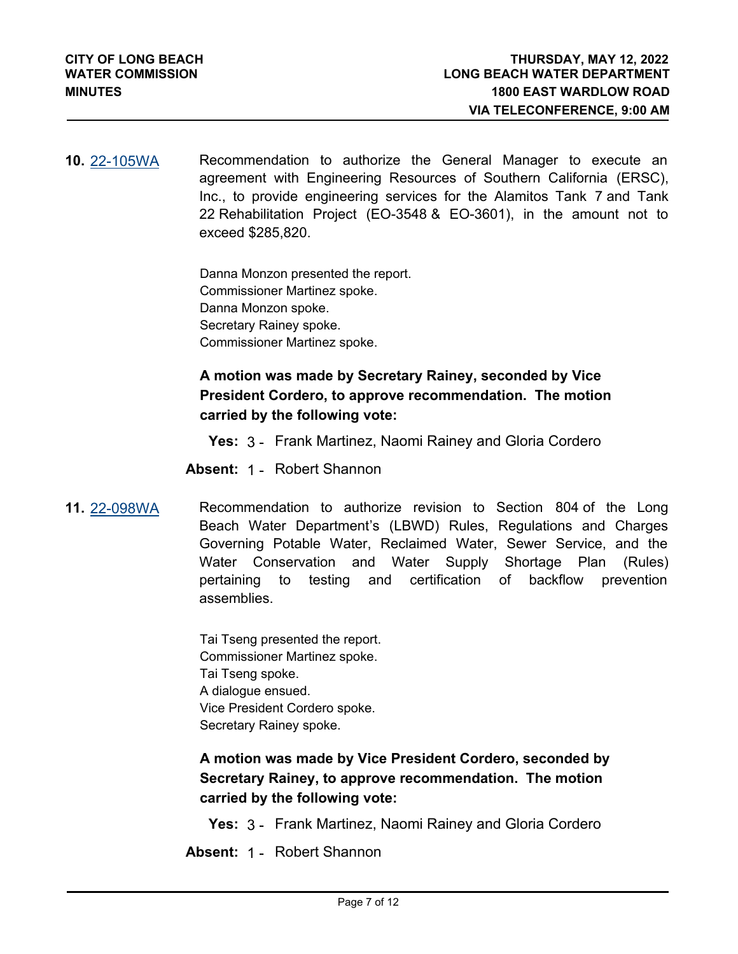**10.** [22-105WA](http://longbeach.legistar.com/gateway.aspx?M=L&ID=239508) Recommendation to authorize the General Manager to execute an agreement with Engineering Resources of Southern California (ERSC), Inc., to provide engineering services for the Alamitos Tank 7 and Tank 22 Rehabilitation Project (EO-3548 & EO-3601), in the amount not to exceed \$285,820.

> Danna Monzon presented the report. Commissioner Martinez spoke. Danna Monzon spoke. Secretary Rainey spoke. Commissioner Martinez spoke.

## **A motion was made by Secretary Rainey, seconded by Vice President Cordero, to approve recommendation. The motion carried by the following vote:**

**Yes:** 3 - Frank Martinez, Naomi Rainey and Gloria Cordero

**Absent:** 1 - Robert Shannon

**11.** [22-098WA](http://longbeach.legistar.com/gateway.aspx?M=L&ID=239311) Recommendation to authorize revision to Section 804 of the Long Beach Water Department's (LBWD) Rules, Regulations and Charges Governing Potable Water, Reclaimed Water, Sewer Service, and the Water Conservation and Water Supply Shortage Plan (Rules) pertaining to testing and certification of backflow prevention assemblies.

> Tai Tseng presented the report. Commissioner Martinez spoke. Tai Tseng spoke. A dialogue ensued. Vice President Cordero spoke. Secretary Rainey spoke.

**A motion was made by Vice President Cordero, seconded by Secretary Rainey, to approve recommendation. The motion carried by the following vote:**

**Yes:** 3 - Frank Martinez, Naomi Rainey and Gloria Cordero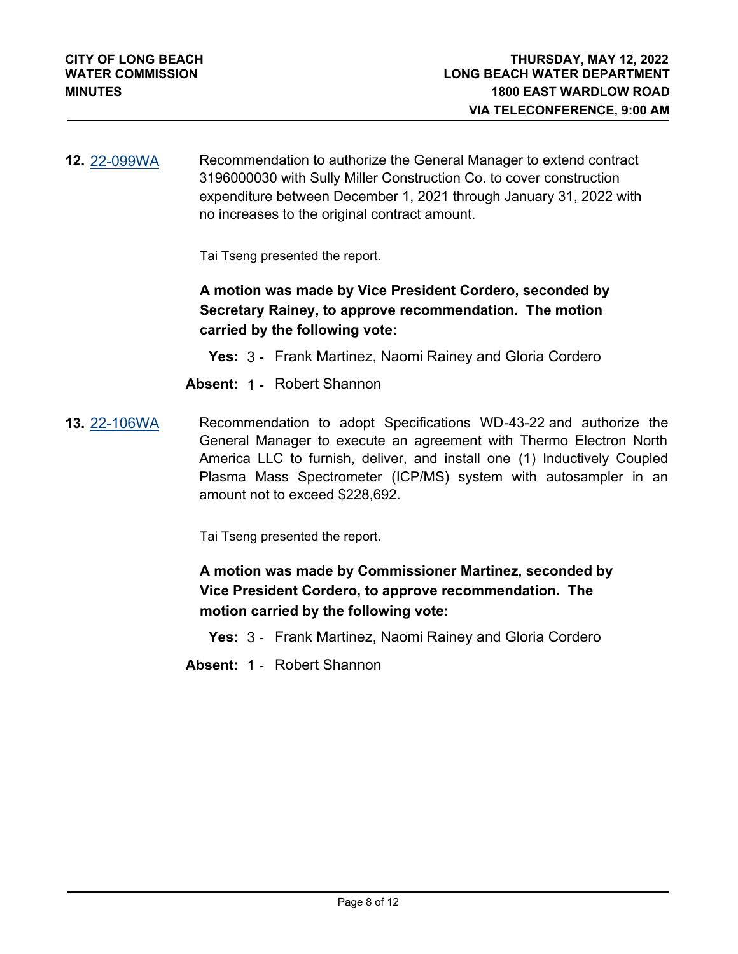**12.** [22-099WA](http://longbeach.legistar.com/gateway.aspx?M=L&ID=239312) Recommendation to authorize the General Manager to extend contract 3196000030 with Sully Miller Construction Co. to cover construction expenditure between December 1, 2021 through January 31, 2022 with no increases to the original contract amount.

Tai Tseng presented the report.

**A motion was made by Vice President Cordero, seconded by Secretary Rainey, to approve recommendation. The motion carried by the following vote:**

**Yes:** 3 - Frank Martinez, Naomi Rainey and Gloria Cordero

**Absent:** 1 - Robert Shannon

**13.** [22-106WA](http://longbeach.legistar.com/gateway.aspx?M=L&ID=239509) Recommendation to adopt Specifications WD-43-22 and authorize the General Manager to execute an agreement with Thermo Electron North America LLC to furnish, deliver, and install one (1) Inductively Coupled Plasma Mass Spectrometer (ICP/MS) system with autosampler in an amount not to exceed \$228,692.

Tai Tseng presented the report.

**A motion was made by Commissioner Martinez, seconded by Vice President Cordero, to approve recommendation. The motion carried by the following vote:**

**Yes:** 3 - Frank Martinez, Naomi Rainey and Gloria Cordero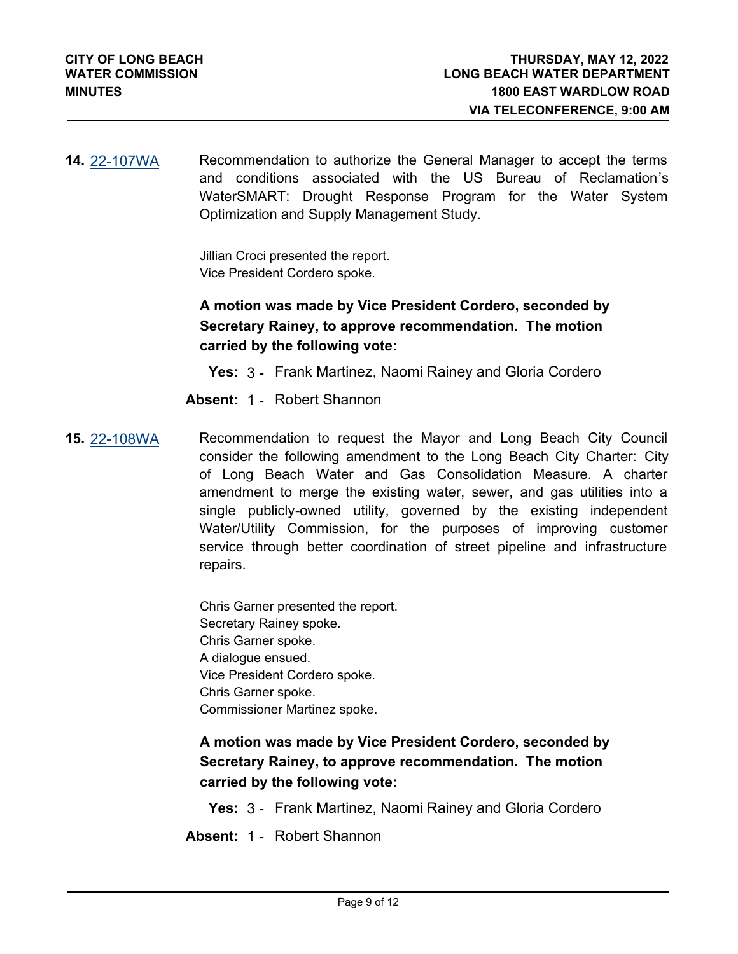**14.** [22-107WA](http://longbeach.legistar.com/gateway.aspx?M=L&ID=239511) Recommendation to authorize the General Manager to accept the terms and conditions associated with the US Bureau of Reclamation's WaterSMART: Drought Response Program for the Water System Optimization and Supply Management Study.

> Jillian Croci presented the report. Vice President Cordero spoke.

## **A motion was made by Vice President Cordero, seconded by Secretary Rainey, to approve recommendation. The motion carried by the following vote:**

**Yes:** 3 - Frank Martinez, Naomi Rainey and Gloria Cordero

**Absent:** 1 - Robert Shannon

**15.** [22-108WA](http://longbeach.legistar.com/gateway.aspx?M=L&ID=239512) Recommendation to request the Mayor and Long Beach City Council consider the following amendment to the Long Beach City Charter: City of Long Beach Water and Gas Consolidation Measure. A charter amendment to merge the existing water, sewer, and gas utilities into a single publicly-owned utility, governed by the existing independent Water/Utility Commission, for the purposes of improving customer service through better coordination of street pipeline and infrastructure repairs.

> Chris Garner presented the report. Secretary Rainey spoke. Chris Garner spoke. A dialogue ensued. Vice President Cordero spoke. Chris Garner spoke. Commissioner Martinez spoke.

## **A motion was made by Vice President Cordero, seconded by Secretary Rainey, to approve recommendation. The motion carried by the following vote:**

**Yes:** 3 - Frank Martinez, Naomi Rainey and Gloria Cordero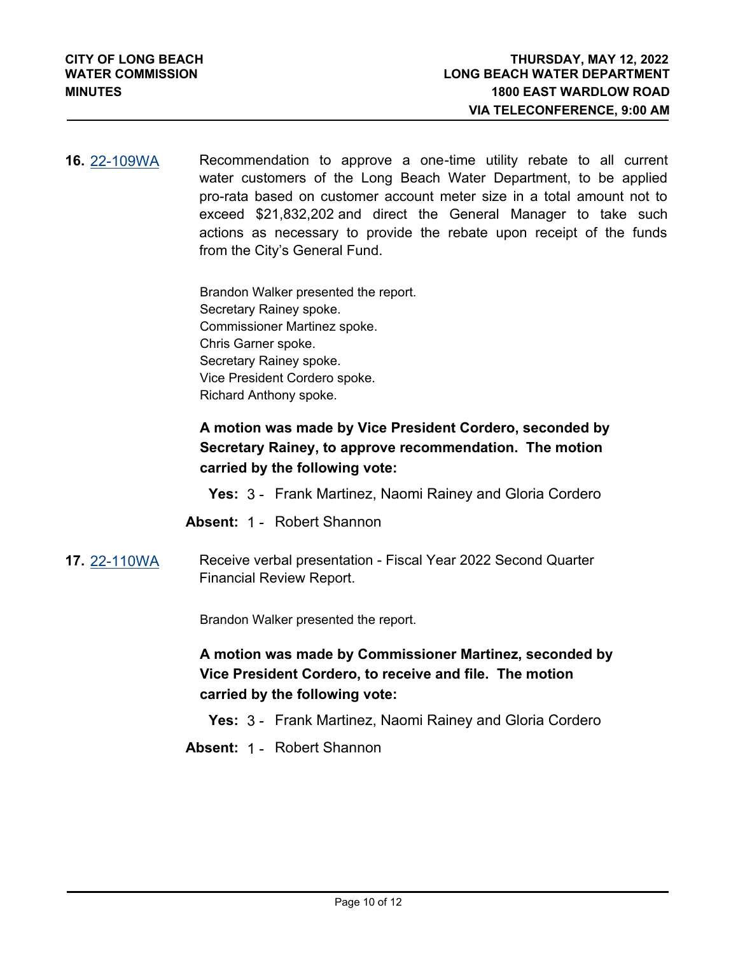**16.** [22-109WA](http://longbeach.legistar.com/gateway.aspx?M=L&ID=239513) Recommendation to approve a one-time utility rebate to all current water customers of the Long Beach Water Department, to be applied pro-rata based on customer account meter size in a total amount not to exceed \$21,832,202 and direct the General Manager to take such actions as necessary to provide the rebate upon receipt of the funds from the City's General Fund.

> Brandon Walker presented the report. Secretary Rainey spoke. Commissioner Martinez spoke. Chris Garner spoke. Secretary Rainey spoke. Vice President Cordero spoke. Richard Anthony spoke.

## **A motion was made by Vice President Cordero, seconded by Secretary Rainey, to approve recommendation. The motion carried by the following vote:**

- **Yes:** 3 Frank Martinez, Naomi Rainey and Gloria Cordero
- **Absent:** 1 Robert Shannon
- **17.** [22-110WA](http://longbeach.legistar.com/gateway.aspx?M=L&ID=239514) Receive verbal presentation Fiscal Year 2022 Second Quarter Financial Review Report.

Brandon Walker presented the report.

## **A motion was made by Commissioner Martinez, seconded by Vice President Cordero, to receive and file. The motion carried by the following vote:**

**Yes:** 3 - Frank Martinez, Naomi Rainey and Gloria Cordero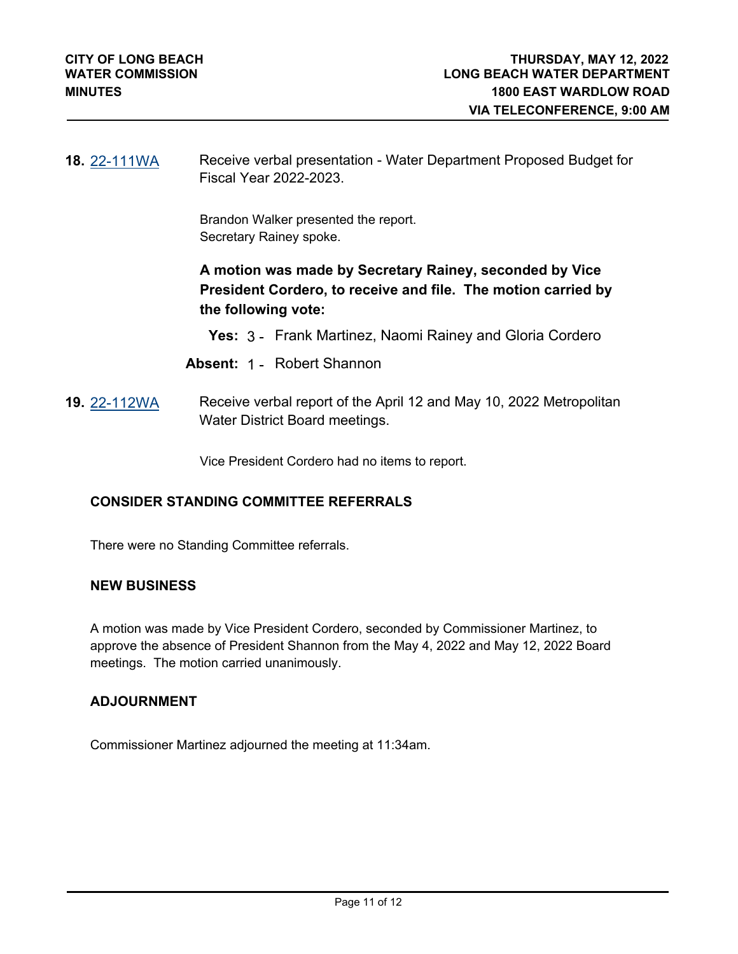**18.** [22-111WA](http://longbeach.legistar.com/gateway.aspx?M=L&ID=239521) Receive verbal presentation - Water Department Proposed Budget for Fiscal Year 2022-2023.

> Brandon Walker presented the report. Secretary Rainey spoke.

**A motion was made by Secretary Rainey, seconded by Vice President Cordero, to receive and file. The motion carried by the following vote:**

- **Yes:** 3 Frank Martinez, Naomi Rainey and Gloria Cordero
- **Absent:** 1 Robert Shannon
- **19.** [22-112WA](http://longbeach.legistar.com/gateway.aspx?M=L&ID=239523) Receive verbal report of the April 12 and May 10, 2022 Metropolitan Water District Board meetings.

Vice President Cordero had no items to report.

### **CONSIDER STANDING COMMITTEE REFERRALS**

There were no Standing Committee referrals.

#### **NEW BUSINESS**

A motion was made by Vice President Cordero, seconded by Commissioner Martinez, to approve the absence of President Shannon from the May 4, 2022 and May 12, 2022 Board meetings. The motion carried unanimously.

#### **ADJOURNMENT**

Commissioner Martinez adjourned the meeting at 11:34am.